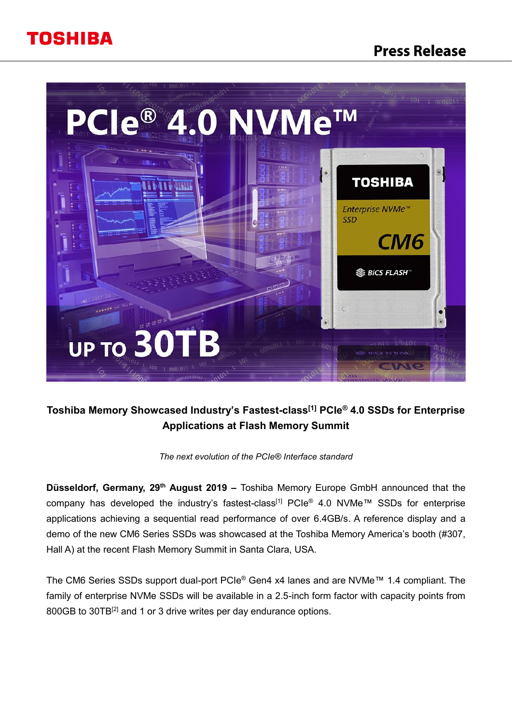# **Press Release**





## **Toshiba Memory Showcased Industry's Fastest-class[1] PCIe® 4.0 SSDs for Enterprise Applications at Flash Memory Summit**

*The next evolution of the PCIe® Interface standard*

**Düsseldorf, Germany, 29<sup>th</sup> August 2019 –** Toshiba Memory Europe GmbH announced that the company has developed the industry's fastest-class<sup>[1]</sup> PCIe<sup>®</sup> 4.0 NVMe™ SSDs for enterprise applications achieving a sequential read performance of over 6.4GB/s. A reference display and a demo of the new CM6 Series SSDs was showcased at the Toshiba Memory America's booth (#307, Hall A) at the recent Flash Memory Summit in Santa Clara, USA.

The CM6 Series SSDs support dual-port PCIe® Gen4 x4 lanes and are NVMe™ 1.4 compliant. The family of enterprise NVMe SSDs will be available in a 2.5-inch form factor with capacity points from 800GB to 30TB<sup>[2]</sup> and 1 or 3 drive writes per day endurance options.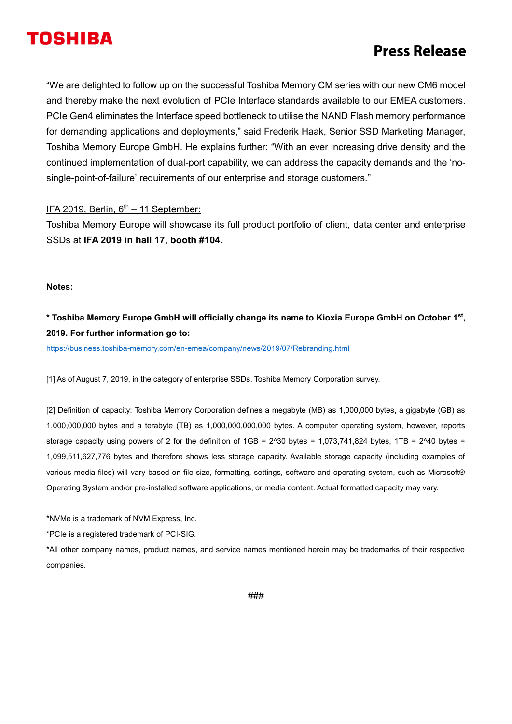"We are delighted to follow up on the successful Toshiba Memory CM series with our new CM6 model and thereby make the next evolution of PCIe Interface standards available to our EMEA customers. PCIe Gen4 eliminates the Interface speed bottleneck to utilise the NAND Flash memory performance for demanding applications and deployments," said Frederik Haak, Senior SSD Marketing Manager, Toshiba Memory Europe GmbH. He explains further: "With an ever increasing drive density and the continued implementation of dual-port capability, we can address the capacity demands and the 'nosingle-point-of-failure' requirements of our enterprise and storage customers."

### IFA 2019, Berlin,  $6<sup>th</sup> - 11$  September:

Toshiba Memory Europe will showcase its full product portfolio of client, data center and enterprise SSDs at **IFA 2019 in hall 17, booth #104**.

**Notes:**

### **\* Toshiba Memory Europe GmbH will officially change its name to Kioxia Europe GmbH on October 1st , 2019. For further information go to:**

<https://business.toshiba-memory.com/en-emea/company/news/2019/07/Rebranding.html>

[1] As of August 7, 2019, in the category of enterprise SSDs. Toshiba Memory Corporation survey.

[2] Definition of capacity: Toshiba Memory Corporation defines a megabyte (MB) as 1,000,000 bytes, a gigabyte (GB) as 1,000,000,000 bytes and a terabyte (TB) as 1,000,000,000,000 bytes. A computer operating system, however, reports storage capacity using powers of 2 for the definition of  $1GB = 2^030$  bytes = 1,073,741,824 bytes, 1TB =  $2^040$  bytes = 1,099,511,627,776 bytes and therefore shows less storage capacity. Available storage capacity (including examples of various media files) will vary based on file size, formatting, settings, software and operating system, such as Microsoft® Operating System and/or pre-installed software applications, or media content. Actual formatted capacity may vary.

\*NVMe is a trademark of NVM Express, Inc.

\*PCIe is a registered trademark of PCI-SIG.

\*All other company names, product names, and service names mentioned herein may be trademarks of their respective companies.